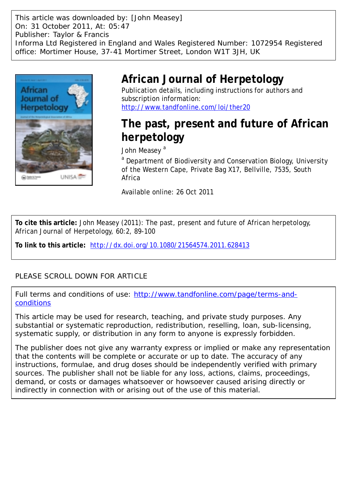This article was downloaded by: [John Measey] On: 31 October 2011, At: 05:47 Publisher: Taylor & Francis Informa Ltd Registered in England and Wales Registered Number: 1072954 Registered office: Mortimer House, 37-41 Mortimer Street, London W1T 3JH, UK



# **African Journal of Herpetology**

Publication details, including instructions for authors and subscription information: <http://www.tandfonline.com/loi/ther20>

# **The past, present and future of African herpetology**

John Measev<sup>a</sup>

<sup>a</sup> Department of Biodiversity and Conservation Biology, University of the Western Cape, Private Bag X17, Bellville, 7535, South Africa

Available online: 26 Oct 2011

**To cite this article:** John Measey (2011): The past, present and future of African herpetology, African Journal of Herpetology, 60:2, 89-100

**To link to this article:** <http://dx.doi.org/10.1080/21564574.2011.628413>

## PLEASE SCROLL DOWN FOR ARTICLE

Full terms and conditions of use: [http://www.tandfonline.com/page/terms-and](http://www.tandfonline.com/page/terms-and-conditions)[conditions](http://www.tandfonline.com/page/terms-and-conditions)

This article may be used for research, teaching, and private study purposes. Any substantial or systematic reproduction, redistribution, reselling, loan, sub-licensing, systematic supply, or distribution in any form to anyone is expressly forbidden.

The publisher does not give any warranty express or implied or make any representation that the contents will be complete or accurate or up to date. The accuracy of any instructions, formulae, and drug doses should be independently verified with primary sources. The publisher shall not be liable for any loss, actions, claims, proceedings, demand, or costs or damages whatsoever or howsoever caused arising directly or indirectly in connection with or arising out of the use of this material.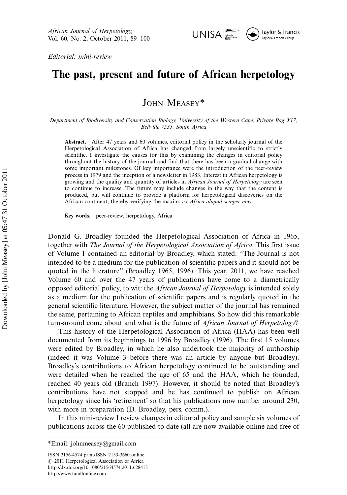Editorial: mini-review

# The past, present and future of African herpetology

## JOHN MEASEY\*

Department of Biodiversity and Conservation Biology, University of the Western Cape, Private Bag X17, Bellville 7535, South Africa

Abstract.—After 47 years and 60 volumes, editorial policy in the scholarly journal of the Herpetological Association of Africa has changed from largely unscientific to strictly scientific. I investigate the causes for this by examining the changes in editorial policy throughout the history of the journal and find that there has been a gradual change with some important milestones. Of key importance were the introduction of the peer-review process in 1979 and the inception of a newsletter in 1983. Interest in African herpetology is growing and the quality and quantity of articles in African Journal of Herpetology are seen to continue to increase. The future may include changes in the way that the content is produced, but will continue to provide a platform for herpetological discoveries on the African continent; thereby verifying the maxim: ex Africa aliquid semper novi.

Key words.-- peer-review, herpetology, Africa

Donald G. Broadley founded the Herpetological Association of Africa in 1965, together with The Journal of the Herpetological Association of Africa. This first issue of Volume 1 contained an editorial by Broadley, which stated: ''The Journal is not intended to be a medium for the publication of scientific papers and it should not be quoted in the literature'' (Broadley 1965, 1996). This year, 2011, we have reached Volume 60 and over the 47 years of publications have come to a diametrically opposed editorial policy, to wit: the African Journal of Herpetology is intended solely as a medium for the publication of scientific papers and is regularly quoted in the general scientific literature. However, the subject matter of the journal has remained the same, pertaining to African reptiles and amphibians. So how did this remarkable turn-around come about and what is the future of *African Journal of Herpetology*?

This history of the Herpetological Association of Africa (HAA) has been well documented from its beginnings to 1996 by Broadley (1996). The first 15 volumes were edited by Broadley, in which he also undertook the majority of authorship (indeed it was Volume 3 before there was an article by anyone but Broadley). Broadley's contributions to African herpetology continued to be outstanding and were detailed when he reached the age of 65 and the HAA, which he founded, reached 40 years old (Branch 1997). However, it should be noted that Broadley's contributions have not stopped and he has continued to publish on African herpetology since his 'retirement' so that his publications now number around 230, with more in preparation (D. Broadley, pers. comm.).

In this mini-review I review changes in editorial policy and sample six volumes of publications across the 60 published to date (all are now available online and free of

<sup>\*</sup>Email: johnmeasey@gmail.com

ISSN 2156-4574 print/ISSN 2153-3660 online  $@$  2011 Herpetological Association of Africa <http://dx.doi.org/10.1080/21564574.2011.628413> <http://www.tandfonline.com>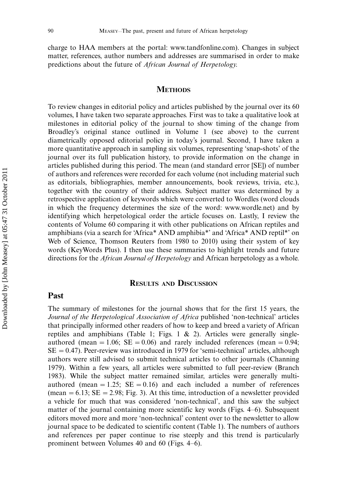charge to HAA members at the portal:<www.tandfonline.com>). Changes in subject matter, references, author numbers and addresses are summarised in order to make predictions about the future of African Journal of Herpetology.

#### **METHODS**

To review changes in editorial policy and articles published by the journal over its 60 volumes, I have taken two separate approaches. First was to take a qualitative look at milestones in editorial policy of the journal to show timing of the change from Broadley's original stance outlined in Volume 1 (see above) to the current diametrically opposed editorial policy in today's journal. Second, I have taken a more quantitative approach in sampling six volumes, representing 'snap-shots' of the journal over its full publication history, to provide information on the change in articles published during this period. The mean (and standard error [SE]) of number of authors and references were recorded for each volume (not including material such as editorials, bibliographies, member announcements, book reviews, trivia, etc.), together with the country of their address. Subject matter was determined by a retrospective application of keywords which were converted to Wordles (word clouds in which the frequency determines the size of the word: [www.wordle.net\)](www.wordle.net) and by identifying which herpetological order the article focuses on. Lastly, I review the contents of Volume 60 comparing it with other publications on African reptiles and amphibians (via a search for 'Africa\* AND amphibia\*' and 'Africa\* AND reptil\*' on Web of Science, Thomson Reuters from 1980 to 2010) using their system of key words (KeyWords Plus). I then use these summaries to highlight trends and future directions for the *African Journal of Herpetology* and African herpetology as a whole.

#### RESULTS AND DISCUSSION

#### Past

The summary of milestones for the journal shows that for the first 15 years, the Journal of the Herpetological Association of Africa published 'non-technical' articles that principally informed other readers of how to keep and breed a variety of African reptiles and amphibians (Table 1; Figs. 1  $\&$  2). Articles were generally singleauthored (mean  $= 1.06$ ; SE  $= 0.06$ ) and rarely included references (mean  $= 0.94$ ;  $SE = 0.47$ ). Peer-review was introduced in 1979 for 'semi-technical' articles, although authors were still advised to submit technical articles to other journals (Channing 1979). Within a few years, all articles were submitted to full peer-review (Branch 1983). While the subject matter remained similar, articles were generally multiauthored (mean  $= 1.25$ ; SE  $= 0.16$ ) and each included a number of references (mean  $= 6.13$ ; SE  $= 2.98$ ; Fig. 3). At this time, introduction of a newsletter provided a vehicle for much that was considered 'non-technical', and this saw the subject matter of the journal containing more scientific key words (Figs. 4-6). Subsequent editors moved more and more 'non-technical' content over to the newsletter to allow journal space to be dedicated to scientific content (Table 1). The numbers of authors and references per paper continue to rise steeply and this trend is particularly prominent between Volumes 40 and 60 (Figs. 4-6).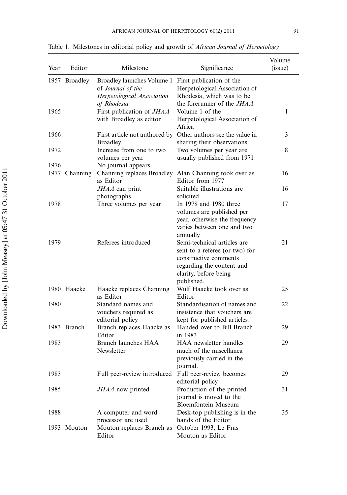| Year | Editor        | Milestone                                                                                                             | Significance                                                                                                                                               | Volume<br>(issue) |
|------|---------------|-----------------------------------------------------------------------------------------------------------------------|------------------------------------------------------------------------------------------------------------------------------------------------------------|-------------------|
|      | 1957 Broadley | Broadley launches Volume 1 First publication of the<br>of Journal of the<br>Herpetological Association<br>of Rhodesia | Herpetological Association of<br>Rhodesia, which was to be<br>the forerunner of the <i>JHAA</i>                                                            |                   |
| 1965 |               | First publication of JHAA<br>with Broadley as editor                                                                  | Volume 1 of the<br>Herpetological Association of<br>Africa                                                                                                 | 1                 |
| 1966 |               | <b>Broadley</b>                                                                                                       | First article not authored by Other authors see the value in<br>sharing their observations                                                                 | 3                 |
| 1972 |               | Increase from one to two<br>volumes per year                                                                          | Two volumes per year are<br>usually published from 1971                                                                                                    | 8                 |
| 1976 | 1977 Channing | No journal appears<br>as Editor                                                                                       | Channing replaces Broadley Alan Channing took over as<br>Editor from 1977                                                                                  | 16                |
|      |               | JHAA can print<br>photographs                                                                                         | Suitable illustrations are<br>solicited                                                                                                                    | 16                |
| 1978 |               | Three volumes per year                                                                                                | In 1978 and 1980 three<br>volumes are published per<br>year, otherwise the frequency<br>varies between one and two<br>annually.                            | 17                |
| 1979 |               | Referees introduced                                                                                                   | Semi-technical articles are<br>sent to a referee (or two) for<br>constructive comments<br>regarding the content and<br>clarity, before being<br>published. | 21                |
|      | 1980 Haacke   | Haacke replaces Channing<br>as Editor                                                                                 | Wulf Haacke took over as<br>Editor                                                                                                                         | 25                |
| 1980 |               | Standard names and<br>vouchers required as<br>editorial policy                                                        | Standardisation of names and<br>insistence that vouchers are<br>kept for published articles.                                                               | 22                |
|      | 1983 Branch   | Branch replaces Haacke as<br>Editor                                                                                   | Handed over to Bill Branch<br>in 1983                                                                                                                      | 29                |
| 1983 |               | Branch launches HAA<br>Newsletter                                                                                     | <b>HAA</b> newsletter handles<br>much of the miscellanea<br>previously carried in the<br>journal.                                                          | 29                |
| 1983 |               | Full peer-review introduced Full peer-review becomes                                                                  | editorial policy                                                                                                                                           | 29                |
| 1985 |               | JHAA now printed                                                                                                      | Production of the printed<br>journal is moved to the<br><b>Bloemfontein Museum</b>                                                                         | 31                |
| 1988 |               | A computer and word<br>processor are used                                                                             | Desk-top publishing is in the<br>hands of the Editor                                                                                                       | 35                |
|      | 1993 Mouton   | Mouton replaces Branch as<br>Editor                                                                                   | October 1993, Le Fras<br>Mouton as Editor                                                                                                                  |                   |

Table 1. Milestones in editorial policy and growth of African Journal of Herpetology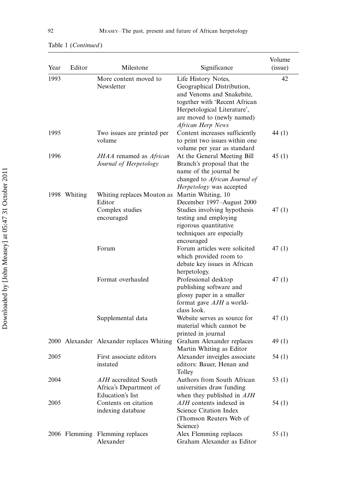| Year | Editor       | Milestone                                                                       | Significance                                                                                                                                                                                      | Volume<br>(issue) |
|------|--------------|---------------------------------------------------------------------------------|---------------------------------------------------------------------------------------------------------------------------------------------------------------------------------------------------|-------------------|
| 1993 |              | More content moved to<br>Newsletter                                             | Life History Notes,<br>Geographical Distribution,<br>and Venoms and Snakebite,<br>together with 'Recent African<br>Herpetological Literature',<br>are moved to (newly named)<br>African Herp News | 42                |
| 1995 |              | Two issues are printed per<br>volume                                            | Content increases sufficiently<br>to print two issues within one<br>volume per year as standard                                                                                                   | 44 (1)            |
| 1996 | 1998 Whiting | JHAA renamed as African<br>Journal of Herpetology<br>Whiting replaces Mouton as | At the General Meeting Bill<br>Branch's proposal that the<br>name of the journal be<br>changed to African Journal of<br>Herpetology was accepted<br>Martin Whiting, 10                            | 45(1)             |
|      |              | Editor<br>Complex studies<br>encouraged                                         | December 1997–August 2000<br>Studies involving hypothesis<br>testing and employing<br>rigorous quantitative<br>techniques are especially<br>encouraged                                            | 47(1)             |
|      |              | Forum                                                                           | Forum articles were solicited<br>which provided room to<br>debate key issues in African<br>herpetology.                                                                                           | 47(1)             |
|      |              | Format overhauled                                                               | Professional desktop<br>publishing software and<br>glossy paper in a smaller<br>format gave AJH a world-<br>class look.                                                                           | 47(1)             |
|      |              | Supplemental data                                                               | Website serves as source for<br>material which cannot be<br>printed in journal                                                                                                                    | 47(1)             |
|      |              | 2000 Alexander Alexander replaces Whiting                                       | Graham Alexander replaces<br>Martin Whiting as Editor                                                                                                                                             | 49 (1)            |
| 2005 |              | First associate editors<br>instated                                             | Alexander inveigles associate<br>editors: Bauer, Henan and<br>Tolley                                                                                                                              | 54 (1)            |
| 2004 |              | AJH accredited South<br>Africa's Department of<br>Education's list              | Authors from South African<br>universities draw funding<br>when they published in AJH                                                                                                             | 53 $(1)$          |
| 2005 |              | Contents on citation<br>indexing database                                       | AJH contents indexed in<br>Science Citation Index<br>(Thomson Reuters Web of<br>Science)                                                                                                          | 54 (1)            |
|      |              | 2006 Flemming Flemming replaces<br>Alexander                                    | Alex Flemming replaces<br>Graham Alexander as Editor                                                                                                                                              | 55 $(1)$          |

#### Table 1 (Continued )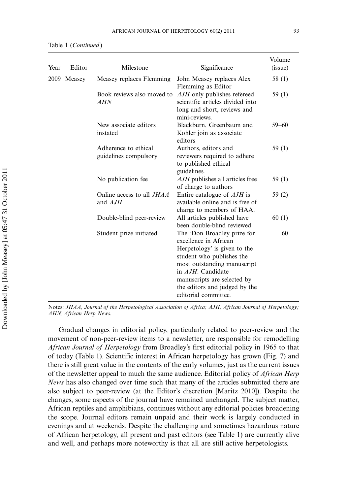| Year | Editor      | Milestone                                     | Significance                                                                                                                                                                                                                                                  | Volume<br>(issue) |
|------|-------------|-----------------------------------------------|---------------------------------------------------------------------------------------------------------------------------------------------------------------------------------------------------------------------------------------------------------------|-------------------|
|      | 2009 Measey | Measey replaces Flemming                      | John Measey replaces Alex<br>Flemming as Editor                                                                                                                                                                                                               | 58 (1)            |
|      |             | Book reviews also moved to<br>AHN             | <i>AJH</i> only publishes refereed<br>scientific articles divided into<br>long and short, reviews and<br>mini-reviews.                                                                                                                                        | 59(1)             |
|      |             | New associate editors<br>instated             | Blackburn, Greenbaum and<br>Köhler join as associate<br>editors                                                                                                                                                                                               | $59 - 60$         |
|      |             | Adherence to ethical<br>guidelines compulsory | Authors, editors and<br>reviewers required to adhere<br>to published ethical<br>guidelines.                                                                                                                                                                   | 59 $(1)$          |
|      |             | No publication fee.                           | AJH publishes all articles free<br>of charge to authors                                                                                                                                                                                                       | 59(1)             |
|      |             | Online access to all <i>JHAA</i><br>and AJH   | Entire catalogue of <i>AJH</i> is<br>available online and is free of<br>charge to members of HAA.                                                                                                                                                             | 59 (2)            |
|      |             | Double-blind peer-review                      | All articles published have<br>been double-blind reviewed                                                                                                                                                                                                     | 60(1)             |
|      |             | Student prize initiated                       | The 'Don Broadley prize for<br>excellence in African<br>Herpetology' is given to the<br>student who publishes the<br>most outstanding manuscript<br>in AJH. Candidate<br>manuscripts are selected by<br>the editors and judged by the<br>editorial committee. | 60                |

Notes: JHAA, Journal of the Herpetological Association of Africa; AJH, African Journal of Herpetology; AHN, African Herp News.

Gradual changes in editorial policy, particularly related to peer-review and the movement of non-peer-review items to a newsletter, are responsible for remodelling African Journal of Herpetology from Broadley's first editorial policy in 1965 to that of today (Table 1). Scientific interest in African herpetology has grown (Fig. 7) and there is still great value in the contents of the early volumes, just as the current issues of the newsletter appeal to much the same audience. Editorial policy of African Herp News has also changed over time such that many of the articles submitted there are also subject to peer-review (at the Editor's discretion [Maritz 2010]). Despite the changes, some aspects of the journal have remained unchanged. The subject matter, African reptiles and amphibians, continues without any editorial policies broadening the scope. Journal editors remain unpaid and their work is largely conducted in evenings and at weekends. Despite the challenging and sometimes hazardous nature of African herpetology, all present and past editors (see Table 1) are currently alive and well, and perhaps more noteworthy is that all are still active herpetologists.

Table 1 (Continued )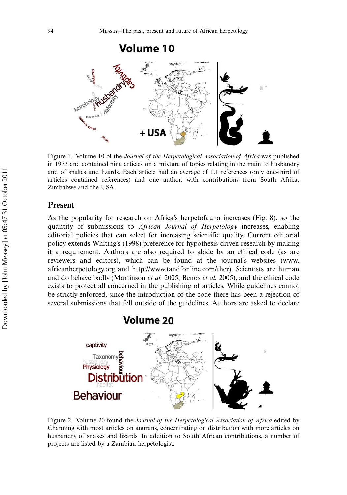

Figure 1. Volume 10 of the Journal of the Herpetological Association of Africa was published in 1973 and contained nine articles on a mixture of topics relating in the main to husbandry and of snakes and lizards. Each article had an average of 1.1 references (only one-third of articles contained references) and one author, with contributions from South Africa, Zimbabwe and the USA.

#### Present

As the popularity for research on Africa's herpetofauna increases (Fig. 8), so the quantity of submissions to *African Journal of Herpetology* increases, enabling editorial policies that can select for increasing scientific quality. Current editorial policy extends Whiting's (1998) preference for hypothesis-driven research by making it a requirement. Authors are also required to abide by an ethical code (as are reviewers and editors), which can be found at the journal's websites ([www.](www.africanherpetology.org) [africanherpetology.org](www.africanherpetology.org) and<http://www.tandfonline.com/ther>). Scientists are human and do behave badly (Martinson et al. 2005; Benos et al. 2005), and the ethical code exists to protect all concerned in the publishing of articles. While guidelines cannot be strictly enforced, since the introduction of the code there has been a rejection of several submissions that fell outside of the guidelines. Authors are asked to declare



Figure 2. Volume 20 found the Journal of the Herpetological Association of Africa edited by Channing with most articles on anurans, concentrating on distribution with more articles on husbandry of snakes and lizards. In addition to South African contributions, a number of projects are listed by a Zambian herpetologist.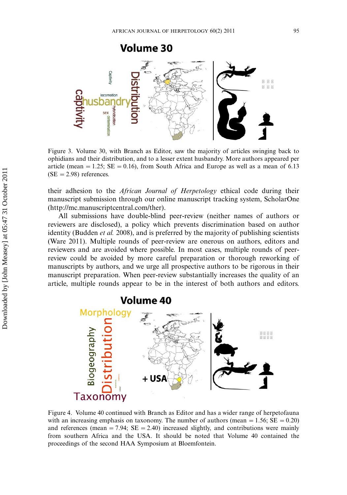

Figure 3. Volume 30, with Branch as Editor, saw the majority of articles swinging back to ophidians and their distribution, and to a lesser extent husbandry. More authors appeared per article (mean = 1.25;  $SE = 0.16$ ), from South Africa and Europe as well as a mean of 6.13  $(SE = 2.98)$  references.

their adhesion to the African Journal of Herpetology ethical code during their manuscript submission through our online manuscript tracking system, ScholarOne (http://mc.manuscriptcentral.com/ther).

All submissions have double-blind peer-review (neither names of authors or reviewers are disclosed), a policy which prevents discrimination based on author identity (Budden *et al.* 2008), and is preferred by the majority of publishing scientists (Ware 2011). Multiple rounds of peer-review are onerous on authors, editors and reviewers and are avoided where possible. In most cases, multiple rounds of peerreview could be avoided by more careful preparation or thorough reworking of manuscripts by authors, and we urge all prospective authors to be rigorous in their manuscript preparation. When peer-review substantially increases the quality of an article, multiple rounds appear to be in the interest of both authors and editors.



Figure 4. Volume 40 continued with Branch as Editor and has a wider range of herpetofauna with an increasing emphasis on taxonomy. The number of authors (mean  $= 1.56$ ; SE  $= 0.20$ ) and references (mean  $= 7.94$ ; SE  $= 2.40$ ) increased slightly, and contributions were mainly from southern Africa and the USA. It should be noted that Volume 40 contained the proceedings of the second HAA Symposium at Bloemfontein.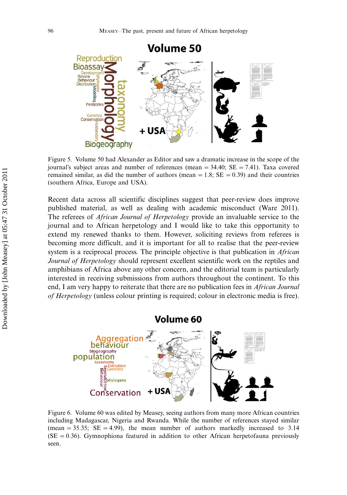

Figure 5. Volume 50 had Alexander as Editor and saw a dramatic increase in the scope of the journal's subject areas and number of references (mean  $=$  34.40; SE  $=$  7.41). Taxa covered remained similar, as did the number of authors (mean  $= 1.8$ ; SE  $= 0.39$ ) and their countries (southern Africa, Europe and USA).

Recent data across all scientific disciplines suggest that peer-review does improve published material, as well as dealing with academic misconduct (Ware 2011). The referees of African Journal of Herpetology provide an invaluable service to the journal and to African herpetology and I would like to take this opportunity to extend my renewed thanks to them. However, soliciting reviews from referees is becoming more difficult, and it is important for all to realise that the peer-review system is a reciprocal process. The principle objective is that publication in *African* Journal of Herpetology should represent excellent scientific work on the reptiles and amphibians of Africa above any other concern, and the editorial team is particularly interested in receiving submissions from authors throughout the continent. To this end, I am very happy to reiterate that there are no publication fees in African Journal of Herpetology (unless colour printing is required; colour in electronic media is free).



Figure 6. Volume 60 was edited by Measey, seeing authors from many more African countries including Madagascar, Nigeria and Rwanda. While the number of references stayed similar (mean  $= 35.35$ ; SE  $= 4.99$ ), the mean number of authors markedly increased to 3.14  $(SE = 0.36)$ . Gymnophiona featured in addition to other African herpetofauna previously seen.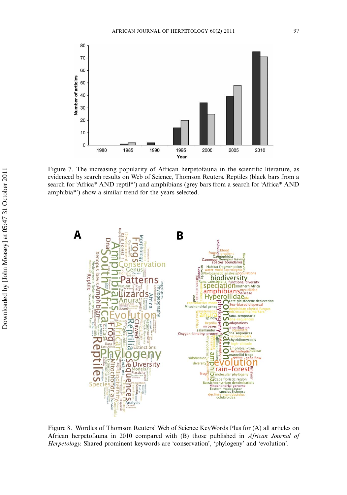

Figure 7. The increasing popularity of African herpetofauna in the scientific literature, as evidenced by search results on Web of Science, Thomson Reuters. Reptiles (black bars from a search for 'Africa\* AND reptil\*') and amphibians (grey bars from a search for 'Africa\* AND amphibia\*') show a similar trend for the years selected.



Figure 8. Wordles of Thomson Reuters' Web of Science KeyWords Plus for (A) all articles on African herpetofauna in 2010 compared with (B) those published in African Journal of Herpetology. Shared prominent keywords are 'conservation', 'phylogeny' and 'evolution'.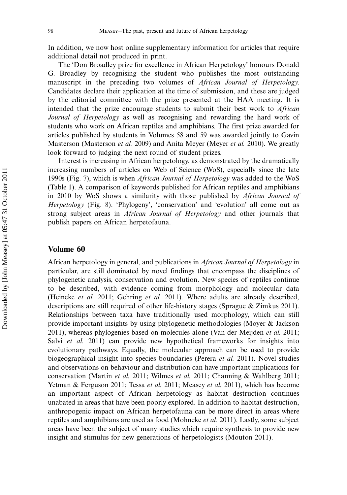In addition, we now host online supplementary information for articles that require additional detail not produced in print.

The 'Don Broadley prize for excellence in African Herpetology' honours Donald G. Broadley by recognising the student who publishes the most outstanding manuscript in the preceding two volumes of African Journal of Herpetology. Candidates declare their application at the time of submission, and these are judged by the editorial committee with the prize presented at the HAA meeting. It is intended that the prize encourage students to submit their best work to African Journal of Herpetology as well as recognising and rewarding the hard work of students who work on African reptiles and amphibians. The first prize awarded for articles published by students in Volumes 58 and 59 was awarded jointly to Gavin Masterson (Masterson et al. 2009) and Anita Meyer (Meyer et al. 2010). We greatly look forward to judging the next round of student prizes.

Interest is increasing in African herpetology, as demonstrated by the dramatically increasing numbers of articles on Web of Science (WoS), especially since the late 1990s (Fig. 7), which is when African Journal of Herpetology was added to the WoS (Table 1). A comparison of keywords published for African reptiles and amphibians in 2010 by WoS shows a similarity with those published by African Journal of Herpetology (Fig. 8). 'Phylogeny', 'conservation' and 'evolution' all come out as strong subject areas in African Journal of Herpetology and other journals that publish papers on African herpetofauna.

### Volume 60

African herpetology in general, and publications in African Journal of Herpetology in particular, are still dominated by novel findings that encompass the disciplines of phylogenetic analysis, conservation and evolution. New species of reptiles continue to be described, with evidence coming from morphology and molecular data (Heineke et al. 2011; Gehring et al. 2011). Where adults are already described, descriptions are still required of other life-history stages (Sprague & Zimkus 2011). Relationships between taxa have traditionally used morphology, which can still provide important insights by using phylogenetic methodologies (Moyer & Jackson 2011), whereas phylogenies based on molecules alone (Van der Meijden et al. 2011; Salvi et al. 2011) can provide new hypothetical frameworks for insights into evolutionary pathways. Equally, the molecular approach can be used to provide biogeographical insight into species boundaries (Perera et al. 2011). Novel studies and observations on behaviour and distribution can have important implications for conservation (Martín et al. 2011; Wilmes et al. 2011; Channing & Wahlberg 2011; Yetman & Ferguson 2011; Tessa et al. 2011; Measey et al. 2011), which has become an important aspect of African herpetology as habitat destruction continues unabated in areas that have been poorly explored. In addition to habitat destruction, anthropogenic impact on African herpetofauna can be more direct in areas where reptiles and amphibians are used as food (Mohneke et al. 2011). Lastly, some subject areas have been the subject of many studies which require synthesis to provide new insight and stimulus for new generations of herpetologists (Mouton 2011).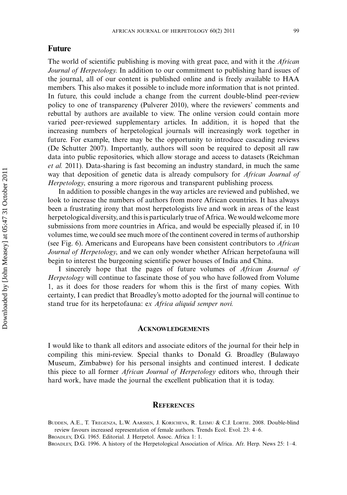## Future

The world of scientific publishing is moving with great pace, and with it the *African* Journal of Herpetology. In addition to our commitment to publishing hard issues of the journal, all of our content is published online and is freely available to HAA members. This also makes it possible to include more information that is not printed. In future, this could include a change from the current double-blind peer-review policy to one of transparency (Pulverer 2010), where the reviewers' comments and rebuttal by authors are available to view. The online version could contain more varied peer-reviewed supplementary articles. In addition, it is hoped that the increasing numbers of herpetological journals will increasingly work together in future. For example, there may be the opportunity to introduce cascading reviews (De Schutter 2007). Importantly, authors will soon be required to deposit all raw data into public repositories, which allow storage and access to datasets (Reichman et al. 2011). Data-sharing is fast becoming an industry standard, in much the same way that deposition of genetic data is already compulsory for African Journal of Herpetology, ensuring a more rigorous and transparent publishing process.

In addition to possible changes in the way articles are reviewed and published, we look to increase the numbers of authors from more African countries. It has always been a frustrating irony that most herpetologists live and work in areas of the least herpetological diversity, and this is particularly true of Africa. We would welcome more submissions from more countries in Africa, and would be especially pleased if, in 10 volumes time, we could see much more of the continent covered in terms of authorship (see Fig. 6). Americans and Europeans have been consistent contributors to African Journal of Herpetology, and we can only wonder whether African herpetofauna will begin to interest the burgeoning scientific power houses of India and China.

I sincerely hope that the pages of future volumes of African Journal of Herpetology will continue to fascinate those of you who have followed from Volume 1, as it does for those readers for whom this is the first of many copies. With certainty, I can predict that Broadley's motto adopted for the journal will continue to stand true for its herpetofauna: ex Africa aliquid semper novi.

#### ACKNOWLEDGEMENTS

I would like to thank all editors and associate editors of the journal for their help in compiling this mini-review. Special thanks to Donald G. Broadley (Bulawayo Museum, Zimbabwe) for his personal insights and continued interest. I dedicate this piece to all former African Journal of Herpetology editors who, through their hard work, have made the journal the excellent publication that it is today.

## **REFERENCES**

BUDDEN, A.E., T. TREGENZA, L.W. AARSSEN, J. KORICHEVA, R. LEIMU & C.J. LORTIE. 2008. Double-blind review favours increased representation of female authors. Trends Ecol. Evol. 23: 4-6.

BROADLEY, D.G. 1965. Editorial. J. Herpetol. Assoc. Africa 1: 1.

BROADLEY, D.G. 1996. A history of the Herpetological Association of Africa. Afr. Herp. News 25: 1–4.